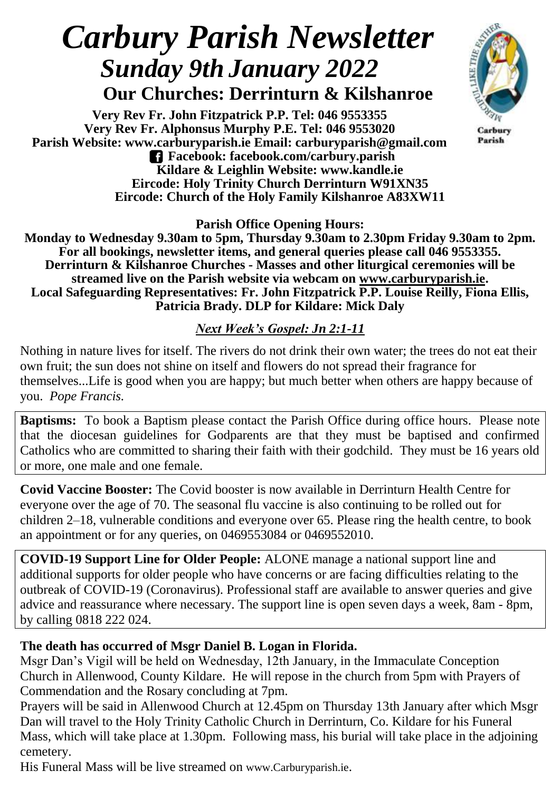# *Carbury Parish Newsletter Sunday 9th January 2022*

 **Our Churches: Derrinturn & Kilshanroe**

**Very Rev Fr. John Fitzpatrick P.P. Tel: 046 9553355 Very Rev Fr. Alphonsus Murphy P.E. Tel: 046 9553020 Parish Website: www.carburyparish.ie Email: carburyparish@gmail.com Facebook: facebook.com/carbury.parish Kildare & Leighlin Website: www.kandle.ie Eircode: Holy Trinity Church Derrinturn W91XN35 Eircode: Church of the Holy Family Kilshanroe A83XW11**



Carbury Parish

**Parish Office Opening Hours:**

**Monday to Wednesday 9.30am to 5pm, Thursday 9.30am to 2.30pm Friday 9.30am to 2pm. For all bookings, newsletter items, and general queries please call 046 9553355. Derrinturn & Kilshanroe Churches - Masses and other liturgical ceremonies will be streamed live on the Parish website via webcam on [www.carburyparish.ie.](http://www.carburyparish.ie/) Local Safeguarding Representatives: Fr. John Fitzpatrick P.P. Louise Reilly, Fiona Ellis, Patricia Brady. DLP for Kildare: Mick Daly**

#### *Next Week's Gospel: Jn 2:1-11*

Nothing in nature lives for itself. The rivers do not drink their own water; the trees do not eat their own fruit; the sun does not shine on itself and flowers do not spread their fragrance for themselves...Life is good when you are happy; but much better when others are happy because of you. *Pope Francis.*

**Baptisms:** To book a Baptism please contact the Parish Office during office hours. Please note that the diocesan guidelines for Godparents are that they must be baptised and confirmed Catholics who are committed to sharing their faith with their godchild. They must be 16 years old or more, one male and one female.

**Covid Vaccine Booster:** The Covid booster is now available in Derrinturn Health Centre for everyone over the age of 70. The seasonal flu vaccine is also continuing to be rolled out for children 2–18, vulnerable conditions and everyone over 65. Please ring the health centre, to book an appointment or for any queries, on 0469553084 or 0469552010.

**COVID-19 Support Line for Older People:** ALONE manage a national support line and additional supports for older people who have concerns or are facing difficulties relating to the outbreak of COVID-19 (Coronavirus). Professional staff are available to answer queries and give advice and reassurance where necessary. The support line is open seven days a week, 8am - 8pm, by calling 0818 222 024.

#### **The death has occurred of Msgr Daniel B. Logan in Florida.**

Msgr Dan's Vigil will be held on Wednesday, 12th January, in the Immaculate Conception Church in Allenwood, County Kildare. He will repose in the church from 5pm with Prayers of Commendation and the Rosary concluding at 7pm.

Prayers will be said in Allenwood Church at 12.45pm on Thursday 13th January after which Msgr Dan will travel to the Holy Trinity Catholic Church in Derrinturn, Co. Kildare for his Funeral Mass, which will take place at 1.30pm. Following mass, his burial will take place in the adjoining cemetery.

His Funeral Mass will be live streamed on [www.Carburyparish.ie](http://www.carburyparish.ie/).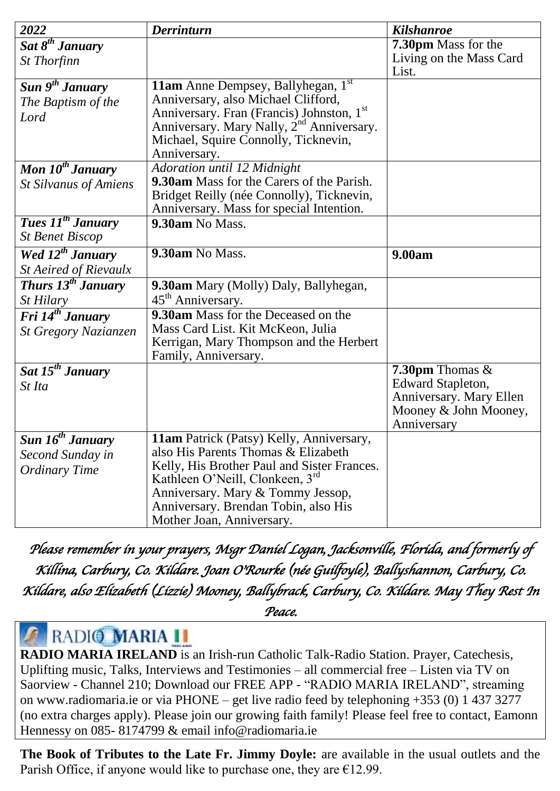| 2022                                      | <b>Derrinturn</b>                                                                     | <b>Kilshanroe</b>        |
|-------------------------------------------|---------------------------------------------------------------------------------------|--------------------------|
| $\overline{Sat} 8^{th}$ January           |                                                                                       | 7.30pm Mass for the      |
| <b>St Thorfinn</b>                        |                                                                                       | Living on the Mass Card  |
|                                           |                                                                                       | List.                    |
| Sun 9 <sup>th</sup> January               | 11am Anne Dempsey, Ballyhegan, 1st                                                    |                          |
| The Baptism of the                        | Anniversary, also Michael Clifford,                                                   |                          |
| Lord                                      | Anniversary. Fran (Francis) Johnston, 1st                                             |                          |
|                                           | Anniversary. Mary Nally, 2 <sup>nd</sup> Anniversary.                                 |                          |
|                                           | Michael, Squire Connolly, Ticknevin,                                                  |                          |
|                                           | Anniversary.                                                                          |                          |
| Mon $10^{th}$ January                     | Adoration until 12 Midnight                                                           |                          |
| <b>St Silvanus of Amiens</b>              | 9.30am Mass for the Carers of the Parish.                                             |                          |
|                                           | Bridget Reilly (née Connolly), Ticknevin,<br>Anniversary. Mass for special Intention. |                          |
| <b>Tues 11<sup>th</sup> January</b>       | 9.30am No Mass.                                                                       |                          |
| <b>St Benet Biscop</b>                    |                                                                                       |                          |
| Wed 12 <sup>th</sup> January              | 9.30am No Mass.                                                                       | 9.00am                   |
| <b>St Aeired of Rievaulx</b>              |                                                                                       |                          |
| Thurs 13 <sup>th</sup> January            | 9.30am Mary (Molly) Daly, Ballyhegan,                                                 |                          |
| St Hilary                                 | 45 <sup>th</sup> Anniversary.                                                         |                          |
| Fri $14^{th}$ January                     | 9.30am Mass for the Deceased on the                                                   |                          |
| <b>St Gregory Nazianzen</b>               | Mass Card List. Kit McKeon, Julia                                                     |                          |
|                                           | Kerrigan, Mary Thompson and the Herbert                                               |                          |
|                                           | Family, Anniversary.                                                                  |                          |
| Sat 15 <sup>th</sup> January              |                                                                                       | 7.30pm Thomas $&$        |
| St Ita                                    |                                                                                       | <b>Edward Stapleton,</b> |
|                                           |                                                                                       | Anniversary. Mary Ellen  |
|                                           |                                                                                       | Mooney & John Mooney,    |
|                                           |                                                                                       | Anniversary              |
| $\overline{Sun}$ 16 <sup>th</sup> January | 11am Patrick (Patsy) Kelly, Anniversary,<br>also His Parents Thomas & Elizabeth       |                          |
| Second Sunday in                          | Kelly, His Brother Paul and Sister Frances.                                           |                          |
| <b>Ordinary Time</b>                      | Kathleen O'Neill, Clonkeen, 3rd                                                       |                          |
|                                           | Anniversary. Mary & Tommy Jessop,                                                     |                          |
|                                           | Anniversary. Brendan Tobin, also His                                                  |                          |
|                                           | Mother Joan, Anniversary.                                                             |                          |

*Please remember in your prayers, Msgr Daniel Logan, Jacksonville, Florida, and formerly of Killina, Carbury, Co. Kildare. Joan O'Rourke (née Guilfoyle), Ballyshannon, Carbury, Co. Kildare, also Elizabeth (Lizzie) Mooney, Ballybrack, Carbury, Co. Kildare. May They Rest In* 

*Peace.* 

## RADIO MARIA II

**[RADIO MARIA IRELAND](http://www.radiomaria.ie)** is an Irish-run Catholic Talk-Radio Station. Prayer, Catechesis, Uplifting music, Talks, Interviews and Testimonies – all commercial free – Listen via TV on Saorview - Channel 210; Download our FREE APP - "RADIO MARIA IRELAND", streaming on [www.radiomaria.ie](http://www.radiomaria.ie/) or via PHONE – get live radio feed by telephoning +353 (0) 1 437 3277 (no extra charges apply). Please join our growing faith family! Please feel free to contact, Eamonn Hennessy on 085- 8174799 & email [info@radiomaria.ie](mailto:info@radiomaria.ie)

**The Book of Tributes to the Late Fr. Jimmy Doyle:** are available in the usual outlets and the Parish Office, if anyone would like to purchase one, they are  $E12.99$ .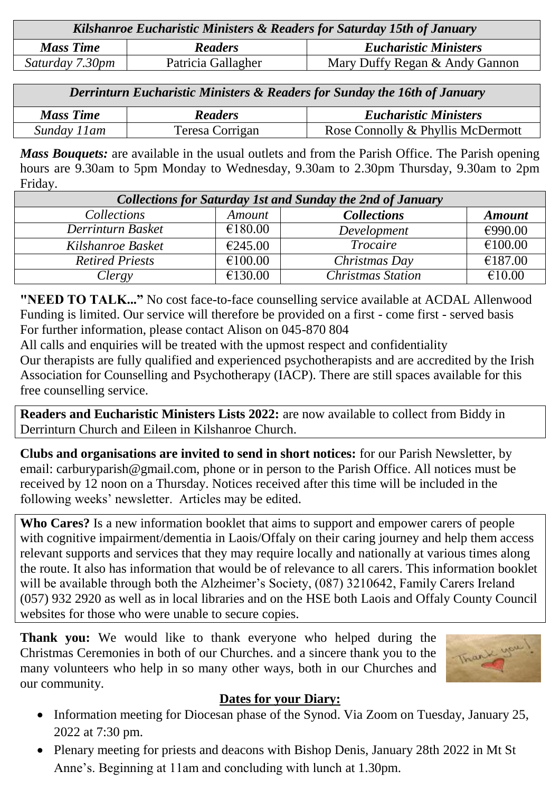| Kilshanroe Eucharistic Ministers & Readers for Saturday 15th of January |                    |                                |  |  |
|-------------------------------------------------------------------------|--------------------|--------------------------------|--|--|
| <b>Mass Time</b>                                                        | <b>Readers</b>     | <b>Eucharistic Ministers</b>   |  |  |
| Saturday 7.30pm                                                         | Patricia Gallagher | Mary Duffy Regan & Andy Gannon |  |  |

| Derrinturn Eucharistic Ministers & Readers for Sunday the 16th of January |                 |                                   |  |  |
|---------------------------------------------------------------------------|-----------------|-----------------------------------|--|--|
| <b>Mass Time</b>                                                          | <b>Readers</b>  | <b>Eucharistic Ministers</b>      |  |  |
| Sunday 11am                                                               | Teresa Corrigan | Rose Connolly & Phyllis McDermott |  |  |

*Mass Bouquets:* are available in the usual outlets and from the Parish Office. The Parish opening hours are 9.30am to 5pm Monday to Wednesday, 9.30am to 2.30pm Thursday, 9.30am to 2pm Friday.

| <b>Collections for Saturday 1st and Sunday the 2nd of January</b> |         |                          |               |  |  |
|-------------------------------------------------------------------|---------|--------------------------|---------------|--|--|
| Collections                                                       | Amount  | <b>Collections</b>       | <b>Amount</b> |  |  |
| Derrinturn Basket                                                 | €180.00 | Development              | €990.00       |  |  |
| Kilshanroe Basket                                                 | €245.00 | <b>Trocaire</b>          | €100.00       |  |  |
| <b>Retired Priests</b>                                            | €100.00 | Christmas Day            | €187.00       |  |  |
| Clergy                                                            | €130.00 | <b>Christmas Station</b> | €10.00        |  |  |

**"NEED TO TALK..."** No cost face-to-face counselling service available at ACDAL Allenwood Funding is limited. Our service will therefore be provided on a first - come first - served basis For further information, please contact Alison on 045-870 804

All calls and enquiries will be treated with the upmost respect and confidentiality Our therapists are fully qualified and experienced psychotherapists and are accredited by the Irish Association for Counselling and Psychotherapy (IACP). There are still spaces available for this free counselling service.

**Readers and Eucharistic Ministers Lists 2022:** are now available to collect from Biddy in Derrinturn Church and Eileen in Kilshanroe Church.

**Clubs and organisations are invited to send in short notices:** for our Parish Newsletter, by email: carburyparish@gmail.com, phone or in person to the Parish Office. All notices must be received by 12 noon on a Thursday. Notices received after this time will be included in the following weeks' newsletter. Articles may be edited.

**Who Cares?** Is a new information booklet that aims to support and empower carers of people with cognitive impairment/dementia in Laois/Offaly on their caring journey and help them access relevant supports and services that they may require locally and nationally at various times along the route. It also has information that would be of relevance to all carers. This information booklet will be available through both the Alzheimer's Society, (087) 3210642, Family Carers Ireland (057) 932 2920 as well as in local libraries and on the HSE both Laois and Offaly County Council websites for those who were unable to secure copies.

**Thank you:** We would like to thank everyone who helped during the Christmas Ceremonies in both of our Churches. and a sincere thank you to the many volunteers who help in so many other ways, both in our Churches and our community.

#### **Dates for your Diary:**

Thank

- Information meeting for Diocesan phase of the Synod. Via Zoom on Tuesday, January 25, 2022 at 7:30 pm.
- Plenary meeting for priests and deacons with Bishop Denis, January 28th 2022 in Mt St Anne's. Beginning at 11am and concluding with lunch at 1.30pm.